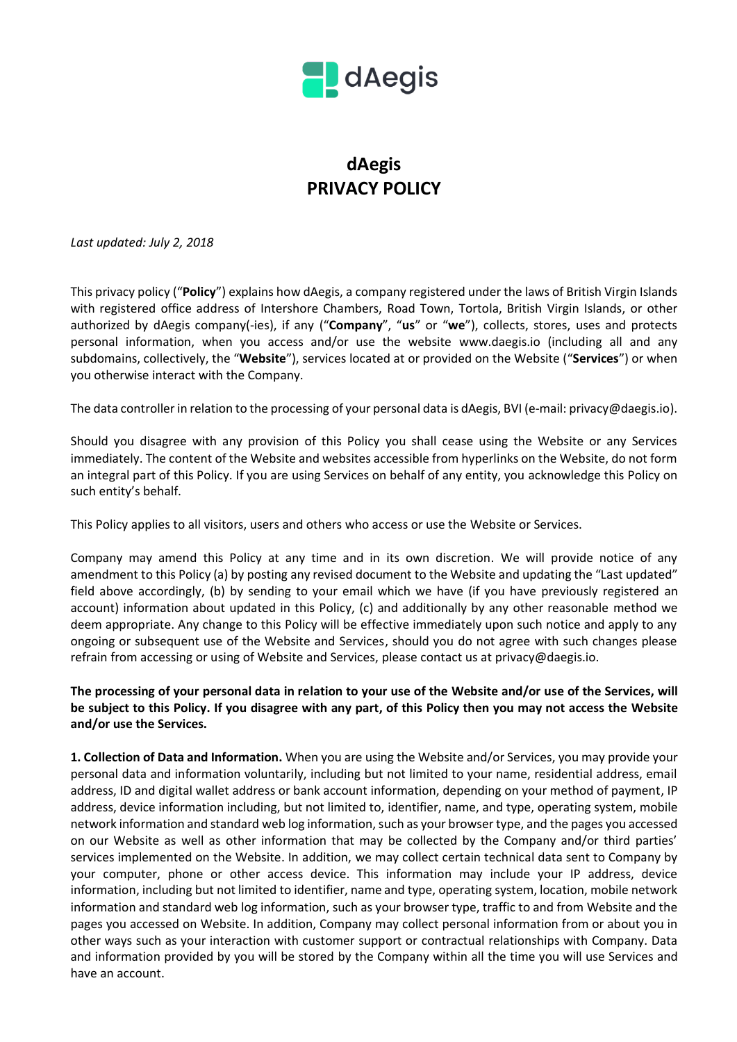

## **dAegis PRIVACY POLICY**

*Last updated: July 2, 2018*

This privacy policy ("**Policy**") explains how dAegis, a company registered under the laws of British Virgin Islands with registered office address of Intershore Chambers, Road Town, Tortola, British Virgin Islands, or other authorized by dAegis company(-ies), if any ("**Company**", "**us**" or "**we**"), collects, stores, uses and protects personal information, when you access and/or use the website www.daegis.io (including all and any subdomains, collectively, the "**Website**"), services located at or provided on the Website ("**Services**") or when you otherwise interact with the Company.

The data controller in relation to the processing of your personal data is dAegis, BVI (e-mail: privacy@daegis.io).

Should you disagree with any provision of this Policy you shall cease using the Website or any Services immediately. The content of the Website and websites accessible from hyperlinks on the Website, do not form an integral part of this Policy. If you are using Services on behalf of any entity, you acknowledge this Policy on such entity's behalf.

This Policy applies to all visitors, users and others who access or use the Website or Services.

Company may amend this Policy at any time and in its own discretion. We will provide notice of any amendment to this Policy (a) by posting any revised document to the Website and updating the "Last updated" field above accordingly, (b) by sending to your email which we have (if you have previously registered an account) information about updated in this Policy, (с) and additionally by any other reasonable method we deem appropriate. Any change to this Policy will be effective immediately upon such notice and apply to any ongoing or subsequent use of the Website and Services, should you do not agree with such changes please refrain from accessing or using of Website and Services, please contact us at privacy@daegis.io.

**The processing of your personal data in relation to your use of the Website and/or use of the Services, will be subject to this Policy. If you disagree with any part, of this Policy then you may not access the Website and/or use the Services.**

**1. Collection of Data and Information.** When you are using the Website and/or Services, you may provide your personal data and information voluntarily, including but not limited to your name, residential address, email address, ID and digital wallet address or bank account information, depending on your method of payment, IP address, device information including, but not limited to, identifier, name, and type, operating system, mobile network information and standard web log information, such as your browser type, and the pages you accessed on our Website as well as other information that may be collected by the Company and/or third parties' services implemented on the Website. In addition, we may collect certain technical data sent to Company by your computer, phone or other access device. This information may include your IP address, device information, including but not limited to identifier, name and type, operating system, location, mobile network information and standard web log information, such as your browser type, traffic to and from Website and the pages you accessed on Website. In addition, Company may collect personal information from or about you in other ways such as your interaction with customer support or contractual relationships with Company. Data and information provided by you will be stored by the Company within all the time you will use Services and have an account.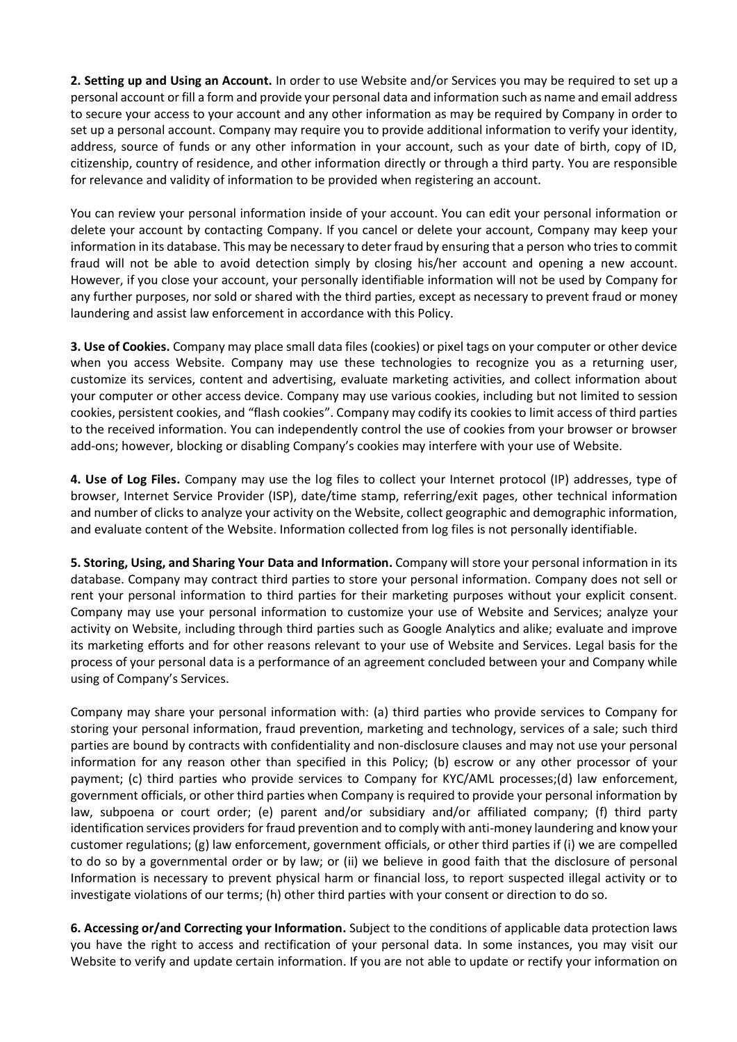**2. Setting up and Using an Account.** In order to use Website and/or Services you may be required to set up a personal account or fill a form and provide your personal data and information such as name and email address to secure your access to your account and any other information as may be required by Company in order to set up a personal account. Company may require you to provide additional information to verify your identity, address, source of funds or any other information in your account, such as your date of birth, copy of ID, citizenship, country of residence, and other information directly or through a third party. You are responsible for relevance and validity of information to be provided when registering an account.

You can review your personal information inside of your account. You can edit your personal information or delete your account by contacting Company. If you cancel or delete your account, Company may keep your information in its database. This may be necessary to deter fraud by ensuring that a person who tries to commit fraud will not be able to avoid detection simply by closing his/her account and opening a new account. However, if you close your account, your personally identifiable information will not be used by Company for any further purposes, nor sold or shared with the third parties, except as necessary to prevent fraud or money laundering and assist law enforcement in accordance with this Policy.

**3. Use of Cookies.** Company may place small data files (cookies) or pixel tags on your computer or other device when you access Website. Company may use these technologies to recognize you as a returning user, customize its services, content and advertising, evaluate marketing activities, and collect information about your computer or other access device. Company may use various cookies, including but not limited to session cookies, persistent cookies, and "flash cookies". Company may codify its cookies to limit access of third parties to the received information. You can independently control the use of cookies from your browser or browser add-ons; however, blocking or disabling Company's cookies may interfere with your use of Website.

**4. Use of Log Files.** Company may use the log files to collect your Internet protocol (IP) addresses, type of browser, Internet Service Provider (ISP), date/time stamp, referring/exit pages, other technical information and number of clicks to analyze your activity on the Website, collect geographic and demographic information, and evaluate content of the Website. Information collected from log files is not personally identifiable.

**5. Storing, Using, and Sharing Your Data and Information.** Company will store your personal information in its database. Company may contract third parties to store your personal information. Company does not sell or rent your personal information to third parties for their marketing purposes without your explicit consent. Company may use your personal information to customize your use of Website and Services; analyze your activity on Website, including through third parties such as Google Analytics and alike; evaluate and improve its marketing efforts and for other reasons relevant to your use of Website and Services. Legal basis for the process of your personal data is a performance of an agreement concluded between your and Company while using of Company's Services.

Company may share your personal information with: (a) third parties who provide services to Company for storing your personal information, fraud prevention, marketing and technology, services of a sale; such third parties are bound by contracts with confidentiality and non-disclosure clauses and may not use your personal information for any reason other than specified in this Policy; (b) escrow or any other processor of your payment; (c) third parties who provide services to Company for KYC/AML processes;(d) law enforcement, government officials, or other third parties when Company is required to provide your personal information by law, subpoena or court order; (e) parent and/or subsidiary and/or affiliated company; (f) third party identification services providers for fraud prevention and to comply with anti-money laundering and know your customer regulations; (g) law enforcement, government officials, or other third parties if (i) we are compelled to do so by a governmental order or by law; or (ii) we believe in good faith that the disclosure of personal Information is necessary to prevent physical harm or financial loss, to report suspected illegal activity or to investigate violations of our terms; (h) other third parties with your consent or direction to do so.

**6. Accessing or/and Correcting your Information.** Subject to the conditions of applicable data protection laws you have the right to access and rectification of your personal data. In some instances, you may visit our Website to verify and update certain information. If you are not able to update or rectify your information on